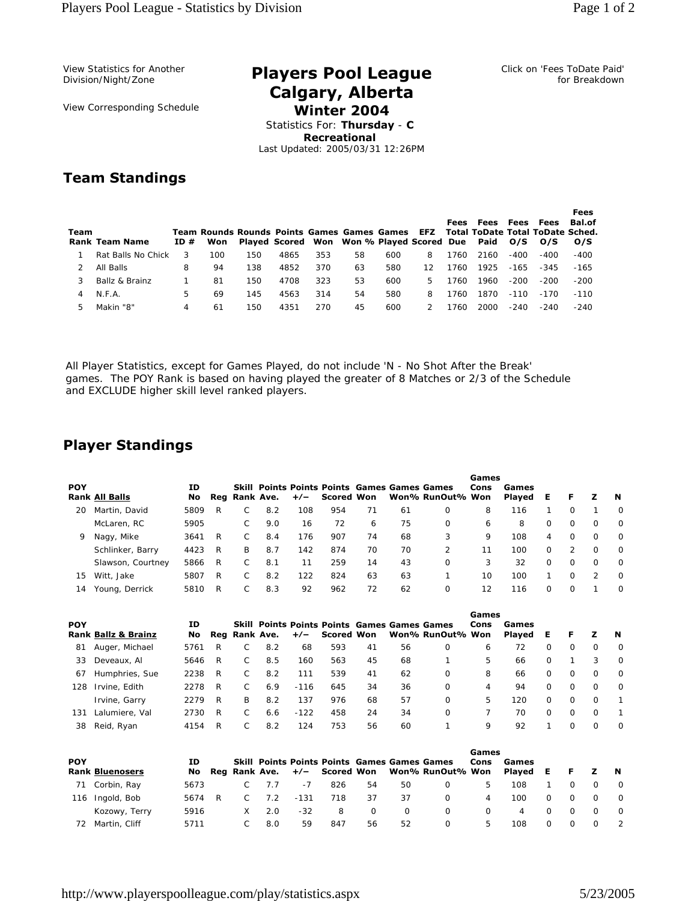View Statistics for Another Division/Night/Zone

View Corresponding Schedule

## **Players Pool League Calgary, Alberta Winter 2004**

Click on 'Fees ToDate Paid' for Breakdown

Statistics For: **Thursday** - **C Recreational** Last Updated: 2005/03/31 12:26PM

## **Team Standings**

| Team | <b>Rank Team Name</b> | ID# | Won | Team Rounds Rounds Points Games Games Games EFZ |      |     | Played Scored Won Won % Played Scored Due Paid |     |    | Fees | Fees | Fees<br>O/S | Fees<br><b>Total ToDate Total ToDate Sched.</b><br>O/S | Fees<br><b>Bal.of</b><br>O/S |
|------|-----------------------|-----|-----|-------------------------------------------------|------|-----|------------------------------------------------|-----|----|------|------|-------------|--------------------------------------------------------|------------------------------|
|      | Rat Balls No Chick    | 3   | 100 | 150                                             | 4865 | 353 | 58                                             | 600 | 8  | 1760 | 2160 | $-400$      | $-400$                                                 | -400                         |
|      | All Balls             | 8   | 94  | 138                                             | 4852 | 370 | 63                                             | 580 | 12 | 1760 | 1925 | $-165$      | -345                                                   | $-165$                       |
|      | Ballz & Brainz        |     | 81  | 150                                             | 4708 | 323 | 53                                             | 600 | 5. | 1760 | 1960 | $-200$      | $-200$                                                 | $-200$                       |
| 4    | N.F.A.                | 5.  | 69  | 145                                             | 4563 | 314 | 54                                             | 580 | 8  | 1760 | 1870 | $-110$      | $-170$                                                 | $-110$                       |
|      | Makin "8"             | 4   | 61  | 150                                             | 4351 | 270 | 45                                             | 600 |    | 1760 | 2000 | $-240$      | $-240$                                                 | $-240$                       |

All Player Statistics, except for Games Played, do not include 'N - No Shot After the Break' games. The POY Rank is based on having played the greater of 8 Matches or 2/3 of the Schedule and EXCLUDE higher skill level ranked players.

## **Player Standings**

| <b>POY</b> | <b>Rank All Balls</b> | ΙD<br>No. |   | Reg Rank Ave. |     |     | <b>Skill Points Points Points Games Games Games</b><br>+/- Scored Won |    |    | Won% RunOut% Won | Games<br>Cons | Games<br>Played | Е        | F.       | z             | N        |
|------------|-----------------------|-----------|---|---------------|-----|-----|-----------------------------------------------------------------------|----|----|------------------|---------------|-----------------|----------|----------|---------------|----------|
| 20         | Martin, David         | 5809      | R |               | 8.2 | 108 | 954                                                                   | 71 | 61 | 0                | 8             | 116             |          | $\Omega$ |               | $\Omega$ |
|            | McLaren, RC           | 5905      |   |               | 9.0 | 16  | 72                                                                    | 6  | 75 | 0                | 6             | 8               | $\Omega$ | $\Omega$ | $\Omega$      | $\Omega$ |
| 9          | Nagy, Mike            | 3641      | R |               | 8.4 | 176 | 907                                                                   | 74 | 68 | 3                | 9             | 108             | 4        | $\Omega$ | $\Omega$      | $\Omega$ |
|            | Schlinker, Barry      | 4423      | R | B             | 8.7 | 142 | 874                                                                   | 70 | 70 | 2                | 11            | 100             | $\Omega$ | 2        | <sup>o</sup>  | $\Omega$ |
|            | Slawson, Courtney     | 5866      | R |               | 8.1 | 11  | 259                                                                   | 14 | 43 | $\Omega$         | 3             | 32              | $\Omega$ | $\Omega$ | <sup>o</sup>  | $\Omega$ |
| 15         | Witt, Jake            | 5807      | R |               | 8.2 | 122 | 824                                                                   | 63 | 63 |                  | 10            | 100             |          | $\Omega$ | $\mathcal{P}$ | $\Omega$ |
| 14         | Young, Derrick        | 5810      | R |               | 8.3 | 92  | 962                                                                   | 72 | 62 | 0                | 12            | 116             | $\Omega$ | $\Omega$ |               | $\Omega$ |

| <b>POY</b> |                                | ΙD   |   |   |               |        |                |    |    | <b>Skill Points Points Points Games Games Games</b> | Games<br>Cons | Games  |          |          |          |              |
|------------|--------------------------------|------|---|---|---------------|--------|----------------|----|----|-----------------------------------------------------|---------------|--------|----------|----------|----------|--------------|
|            | <b>Rank Ballz &amp; Brainz</b> | No l |   |   | Rea Rank Ave. |        | +/- Scored Won |    |    | Won% RunOut% Won                                    |               | Plaved | Е        | F        | z        | <b>N</b>     |
| 81         | Auger, Michael                 | 5761 | R |   | 8.2           | 68     | 593            | 41 | 56 | 0                                                   | 6             | 72     | 0        | $\Omega$ | $\Omega$ | $\Omega$     |
| 33         | Deveaux, Al                    | 5646 | R |   | 8.5           | 160    | 563            | 45 | 68 |                                                     | 5             | 66     | $\Omega$ |          | 3        | $\Omega$     |
| 67         | Humphries, Sue                 | 2238 | R |   | 8.2           | 111    | 539            | 41 | 62 | 0                                                   | 8             | 66     | $\Omega$ | $\Omega$ | $\Omega$ | $\Omega$     |
| 128        | Irvine, Edith                  | 2278 | R |   | 6.9           | $-116$ | 645            | 34 | 36 | $\Omega$                                            | 4             | 94     | $\Omega$ | $\Omega$ | $\Omega$ | $\Omega$     |
|            | Irvine, Garry                  | 2279 | R | в | 8.2           | 137    | 976            | 68 | 57 | $\Omega$                                            | 5             | 120    | $\Omega$ | $\Omega$ | $\Omega$ | $\mathbf{1}$ |
| 131        | Lalumiere, Val                 | 2730 | R |   | 6.6           | $-122$ | 458            | 24 | 34 | 0                                                   |               | 70     | $\Omega$ | $\Omega$ | $\Omega$ |              |
| 38         | Reid, Ryan                     | 4154 | R |   | 8.2           | 124    | 753            | 56 | 60 |                                                     | 9             | 92     |          | $\Omega$ | $\Omega$ | $\Omega$     |

|            |                        |        |    |     |        |     |          |          |                                                                                                  | Games    |                 |          |          |          |                |
|------------|------------------------|--------|----|-----|--------|-----|----------|----------|--------------------------------------------------------------------------------------------------|----------|-----------------|----------|----------|----------|----------------|
| <b>POY</b> | <b>Rank Bluenosers</b> | ΙD     |    |     |        |     |          |          | Skill Points Points Points Games Games Games<br>No Reg Rank Ave. +/- Scored Won Won% RunOut% Won | Cons     | Games<br>Plaved | E        | F.       | z.       | <b>N</b>       |
|            | 71 Corbin, Ray         | 5673   |    | 7.7 | $-7$   | 826 | 54       | 50       | O                                                                                                | b.       | 108             |          | $\Omega$ | $\Omega$ | $\overline{0}$ |
|            | 116 Ingold, Bob        | 5674 R |    | 7.2 | $-131$ | 718 | 37       | 37       | $\Omega$                                                                                         | 4        | 100             | $\Omega$ | $\Omega$ | $\Omega$ | $\overline{0}$ |
|            | Kozowy, Terry          | 5916   | X. | 2.0 | $-32$  | 8   | $\Omega$ | $\Omega$ | $\Omega$                                                                                         | $\Omega$ | 4               | $\Omega$ | $\Omega$ | $\Omega$ | $\Omega$       |
| 72         | Martin, Cliff          | 5711   |    | 8.0 | 59     | 847 | 56       | 52       | $\Omega$                                                                                         | 5        | 108             | $\Omega$ | $\Omega$ |          | $\overline{2}$ |